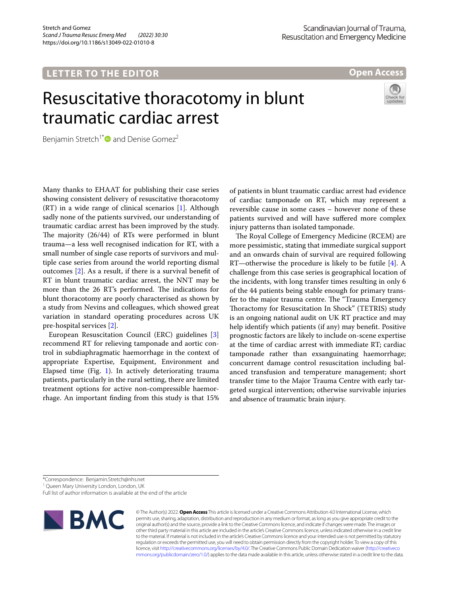## **LETTER TO THE EDITOR**

**Open Access**

# Resuscitative thoracotomy in blunt traumatic cardiac arrest



Benjamin Stretch<sup>1\*</sup> and Denise Gomez<sup>2</sup>

Many thanks to EHAAT for publishing their case series showing consistent delivery of resuscitative thoracotomy  $(RT)$  in a wide range of clinical scenarios  $[1]$  $[1]$ . Although sadly none of the patients survived, our understanding of traumatic cardiac arrest has been improved by the study. The majority  $(26/44)$  of RTs were performed in blunt trauma—a less well recognised indication for RT, with a small number of single case reports of survivors and multiple case series from around the world reporting dismal outcomes [[2\]](#page-1-1). As a result, if there is a survival beneft of RT in blunt traumatic cardiac arrest, the NNT may be more than the 26 RT's performed. The indications for blunt thoracotomy are poorly characterised as shown by a study from Nevins and colleagues, which showed great variation in standard operating procedures across UK pre-hospital services [\[2](#page-1-1)].

European Resuscitation Council (ERC) guidelines [[3](#page-1-2)] recommend RT for relieving tamponade and aortic control in subdiaphragmatic haemorrhage in the context of appropriate Expertise, Equipment, Environment and Elapsed time (Fig. [1](#page-1-3)). In actively deteriorating trauma patients, particularly in the rural setting, there are limited treatment options for active non-compressible haemorrhage. An important fnding from this study is that 15%

of patients in blunt traumatic cardiac arrest had evidence of cardiac tamponade on RT, which may represent a reversible cause in some cases – however none of these patients survived and will have sufered more complex injury patterns than isolated tamponade.

The Royal College of Emergency Medicine (RCEM) are more pessimistic, stating that immediate surgical support and an onwards chain of survival are required following RT—otherwise the procedure is likely to be futile [[4\]](#page-1-4). A challenge from this case series is geographical location of the incidents, with long transfer times resulting in only 6 of the 44 patients being stable enough for primary transfer to the major trauma centre. The "Trauma Emergency Thoractomy for Resuscitation In Shock" (TETRIS) study is an ongoing national audit on UK RT practice and may help identify which patients (if any) may beneft. Positive prognostic factors are likely to include on-scene expertise at the time of cardiac arrest with immediate RT; cardiac tamponade rather than exsanguinating haemorrhage; concurrent damage control resuscitation including balanced transfusion and temperature management; short transfer time to the Major Trauma Centre with early targeted surgical intervention; otherwise survivable injuries and absence of traumatic brain injury.

\*Correspondence: Benjamin.Stretch@nhs.net

<sup>1</sup> Queen Mary University London, London, UK

Full list of author information is available at the end of the article



© The Author(s) 2022. **Open Access** This article is licensed under a Creative Commons Attribution 4.0 International License, which permits use, sharing, adaptation, distribution and reproduction in any medium or format, as long as you give appropriate credit to the original author(s) and the source, provide a link to the Creative Commons licence, and indicate if changes were made. The images or other third party material in this article are included in the article's Creative Commons licence, unless indicated otherwise in a credit line to the material. If material is not included in the article's Creative Commons licence and your intended use is not permitted by statutory regulation or exceeds the permitted use, you will need to obtain permission directly from the copyright holder. To view a copy of this licence, visit [http://creativecommons.org/licenses/by/4.0/.](http://creativecommons.org/licenses/by/4.0/) The Creative Commons Public Domain Dedication waiver ([http://creativeco](http://creativecommons.org/publicdomain/zero/1.0/) [mmons.org/publicdomain/zero/1.0/](http://creativecommons.org/publicdomain/zero/1.0/)) applies to the data made available in this article, unless otherwise stated in a credit line to the data.